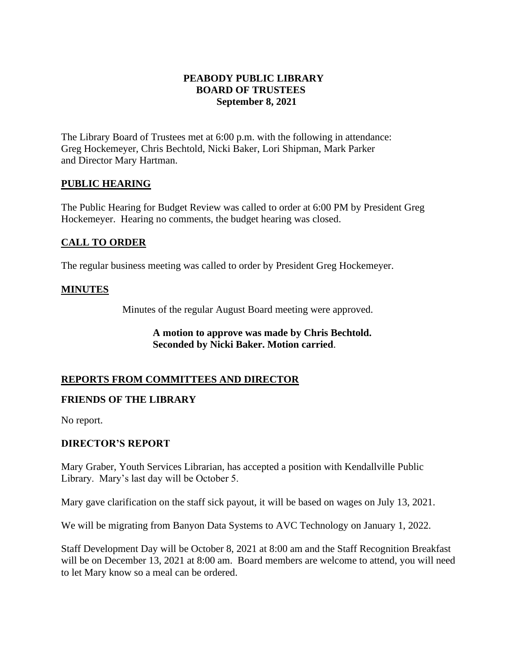### **PEABODY PUBLIC LIBRARY BOARD OF TRUSTEES September 8, 2021**

The Library Board of Trustees met at 6:00 p.m. with the following in attendance: Greg Hockemeyer, Chris Bechtold, Nicki Baker, Lori Shipman, Mark Parker and Director Mary Hartman.

## **PUBLIC HEARING**

The Public Hearing for Budget Review was called to order at 6:00 PM by President Greg Hockemeyer. Hearing no comments, the budget hearing was closed.

# **CALL TO ORDER**

The regular business meeting was called to order by President Greg Hockemeyer.

#### **MINUTES**

Minutes of the regular August Board meeting were approved.

## **A motion to approve was made by Chris Bechtold. Seconded by Nicki Baker. Motion carried**.

#### **REPORTS FROM COMMITTEES AND DIRECTOR**

#### **FRIENDS OF THE LIBRARY**

No report.

#### **DIRECTOR'S REPORT**

Mary Graber, Youth Services Librarian, has accepted a position with Kendallville Public Library. Mary's last day will be October 5.

Mary gave clarification on the staff sick payout, it will be based on wages on July 13, 2021.

We will be migrating from Banyon Data Systems to AVC Technology on January 1, 2022.

Staff Development Day will be October 8, 2021 at 8:00 am and the Staff Recognition Breakfast will be on December 13, 2021 at 8:00 am. Board members are welcome to attend, you will need to let Mary know so a meal can be ordered.